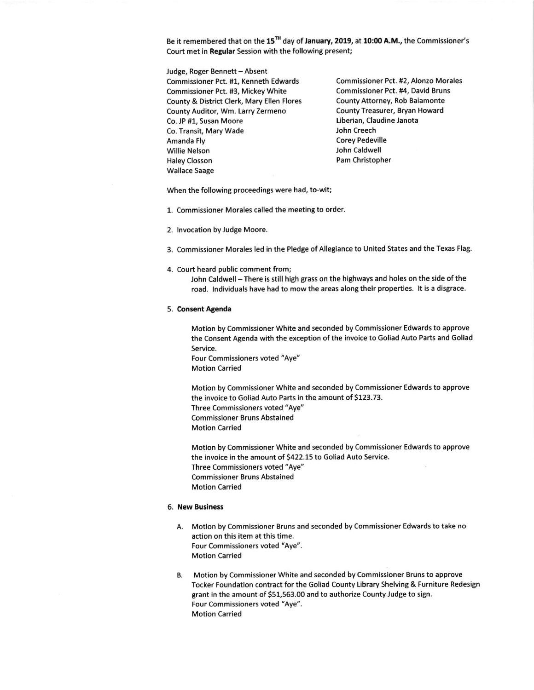Be it remembered that on the 15<sup>TH</sup> day of January, 2019, at 10:00 A.M., the Commissioner's Court met in Regular Session with the following present;

Judge, Roger Bennett - Absent Commissioner Pct. #1, Kenneth Edwards Commissioner Pct. #2, Alonzo Morales<br>Commissioner Pct. #3, Mickey White Commissioner Pct. #4, David Bruns Commissioner Pct. #3, Mickey White Commissioner Pct. #4, David Brur<br>County & District Clerk, Mary Ellen Flores County Attorney, Rob Baiamonte County & District Clerk, Mary Ellen Flores County Attorney, Rob Baiamonte<br>County Auditor, Wm. Larry Zermeno County Treasurer, Bryan Howard County Auditor, Wm. Larry Zermeno Co. JP #1, Susan Moore Liberian, Claudine Janota<br>
Co. Transit. Mary Wade Liberian, Claudine Janota Co. Transit, Mary Wade Amanda Fly **Amanda Fly Corey Pedeville** Willie Nelson John Caldwell Haley Closson **Pam Christopher** wallace Saage

when the following proceedings were had, to-wit;

1. commissioner Morales called the meeting to order.

2. Invocation by Judge Moore.

3. Commissioner Morales led in the Pledge of Allegiance to United States and the Texas Flag.

4. Court heard public comment from;

John Caldwell - There is still high grass on the highways and holes on the side of the road. lndividuals have had to mow the areas along their properties. lt is a disgrace.

## 5. Consent Agenda

Motion by Commissioner White and seconded by Commissioner Edwards to approve the Consent Agenda with the exception of the invoice to Goliad Auto Parts and Goliad Service.

Four Commissioners voted "Aye" Motion Carried

Motion by commissioner White and seconded by Commissioner Edwards to approve the invoice to Goliad Auto Parts in the amount of \$123.73. Three Commissioners voted "Aye"

Commissioner Bruns Abstained

Motion Carried

Motion by commissioner white and seconded by Commissioner Edwards to approve the invoice in the amount of 5422.15 to Goliad Auto Service. Three Commissioners voted "Aye" Commissioner Bruns Abstained Motion Carried

## 6. New Business

- A. Motion by Commissioner Bruns and seconded by Commissioner Edwards to take no action on this item at this time. Four Commissioners voted "Aye". Motion Carried
- B. Motion by Commissioner White and seconded by Commissioner Bruns to approve Tocker Foundation contract for the Goliad County Library Shelving & Furniture Redesign grant in the amount of 551,563.00 and to authorize County Judge to sign. Four commissioners voted "Aye", Motion Carried